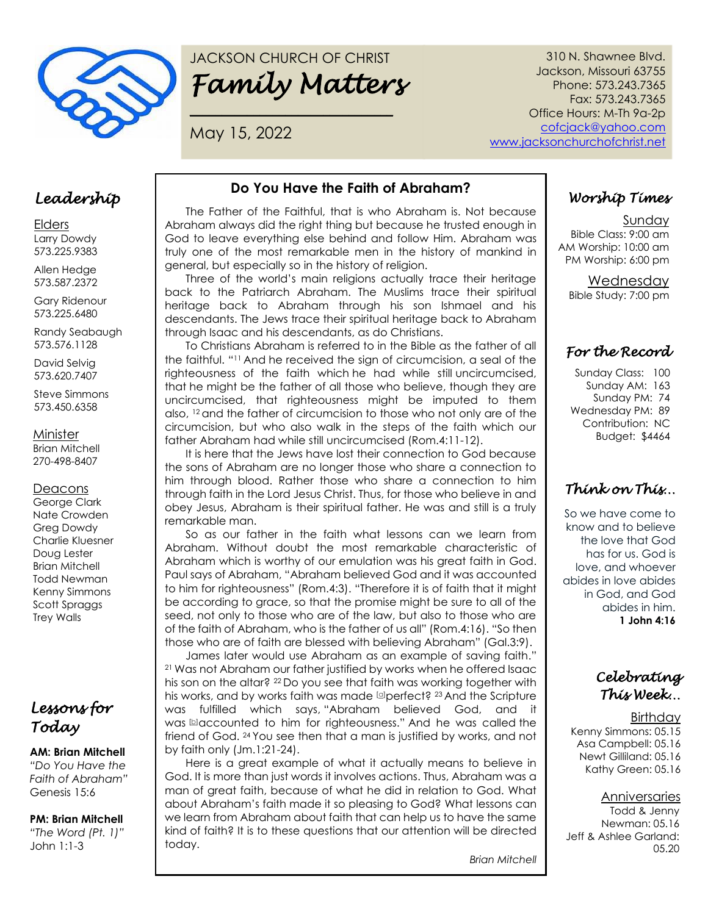

# JACKSON CHURCH OF CHRIST *Family Matters*

**\_\_\_\_\_\_\_\_\_\_\_\_\_\_\_\_\_\_\_\_\_\_\_\_\_\_\_\_\_\_\_\_**

May 15, 2022

310 N. Shawnee Blvd. Jackson, Missouri 63755 Phone: 573.243.7365 Fax: 573.243.7365 Office Hours: M-Th 9a-2p cofcjack@yahoo.com www.jacksonchurchofchrist.net

### *Leadership*

Elders Larry Dowdy 573.225.9383

Allen Hedge 573.587.2372

Gary Ridenour 573.225.6480

Randy Seabaugh 573.576.1128

David Selvig 573.620.7407

Steve Simmons 573.450.6358

Minister

Brian Mitchell 270-498-8407

#### **Deacons**

George Clark Nate Crowden Greg Dowdy Charlie Kluesner Doug Lester Brian Mitchell Todd Newman Kenny Simmons Scott Spraggs Trey Walls

### *Lessons for Today*

#### **AM: Brian Mitchell**

*"Do You Have the Faith of Abraham"* Genesis 15:6

### **PM: Brian Mitchell**

*"The Word (Pt. 1)"* John 1:1-3

### **Do You Have the Faith of Abraham?**

The Father of the Faithful, that is who Abraham is. Not because Abraham always did the right thing but because he trusted enough in God to leave everything else behind and follow Him. Abraham was truly one of the most remarkable men in the history of mankind in general, but especially so in the history of religion.

Three of the world's main religions actually trace their heritage back to the Patriarch Abraham. The Muslims trace their spiritual heritage back to Abraham through his son Ishmael and his descendants. The Jews trace their spiritual heritage back to Abraham through Isaac and his descendants, as do Christians.

To Christians Abraham is referred to in the Bible as the father of all the faithful. "<sup>11</sup> And he received the sign of circumcision, a seal of the righteousness of the faith which he had while still uncircumcised, that he might be the father of all those who believe, though they are uncircumcised, that righteousness might be imputed to them also, <sup>12</sup> and the father of circumcision to those who not only are of the circumcision, but who also walk in the steps of the faith which our father Abraham had while still uncircumcised (Rom.4:11-12).

It is here that the Jews have lost their connection to God because the sons of Abraham are no longer those who share a connection to him through blood. Rather those who share a connection to him through faith in the Lord Jesus Christ. Thus, for those who believe in and obey Jesus, Abraham is their spiritual father. He was and still is a truly remarkable man.

So as our father in the faith what lessons can we learn from Abraham. Without doubt the most remarkable characteristic of Abraham which is worthy of our emulation was his great faith in God. Paul says of Abraham, "Abraham believed God and it was accounted to him for righteousness" (Rom.4:3). "Therefore it is of faith that it might be according to grace, so that the promise might be sure to all of the seed, not only to those who are of the law, but also to those who are of the faith of Abraham, who is the father of us all" (Rom.4:16). "So then those who are of faith are blessed with believing Abraham" (Gal.3:9).

James later would use Abraham as an example of saving faith." <sup>21</sup> Was not Abraham our father justified by works when he offered Isaac his son on the altar? <sup>22</sup> Do you see that faith was working together with his works, and by works faith was made  $\Box$ perfect?  $^{23}$  And the Scripture was fulfilled which says, "Abraham believed God, and it was **b**accounted to him for righteousness." And he was called the friend of God. <sup>24</sup> You see then that a man is justified by works, and not by faith only (Jm.1:21-24).

Here is a great example of what it actually means to believe in God. It is more than just words it involves actions. Thus, Abraham was a man of great faith, because of what he did in relation to God. What about Abraham's faith made it so pleasing to God? What lessons can we learn from Abraham about faith that can help us to have the same kind of faith? It is to these questions that our attention will be directed today.

*Brian Mitchell*

# *Worship Times*

Sunday Bible Class: 9:00 am AM Worship: 10:00 am PM Worship: 6:00 pm

> Wednesday Bible Study: 7:00 pm

### *For the Record*

Sunday Class: 100 Sunday AM: 163 Sunday PM: 74 Wednesday PM: 89 Contribution: NC Budget: \$4464

# *Think on This…*

So we have come to know and to believe the love that God has for us. God is love, and whoever abides in love abides in God, and God abides in him. **1 John 4:16**

*Celebrating This Week…* 

**Birthday** Kenny Simmons: 05.15 Asa Campbell: 05.16 Newt Gilliland: 05.16 Kathy Green: 05.16

#### Anniversaries

Todd & Jenny Newman: 05.16 Jeff & Ashlee Garland: 05.20